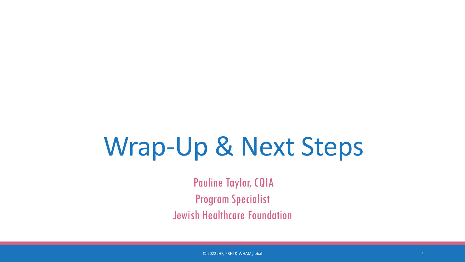## Wrap-Up & Next Steps

Pauline Taylor, CQIA Program Specialist Jewish Healthcare Foundation

© 2022 JHF, PRHI & WHAMglobal 1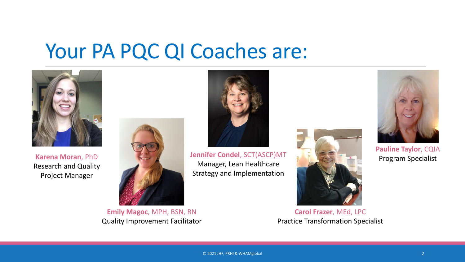#### Your PA PQC QI Coaches are:



**Karena Moran**, PhD Research and Quality Project Manager



**Emily Magoc**, MPH, BSN, RN Quality Improvement Facilitator



**Jennifer Condel**, SCT(ASCP)MT Manager, Lean Healthcare Strategy and Implementation



**Carol Frazer**, MEd, LPC Practice Transformation Specialist



**Pauline Taylor**, CQIA Program Specialist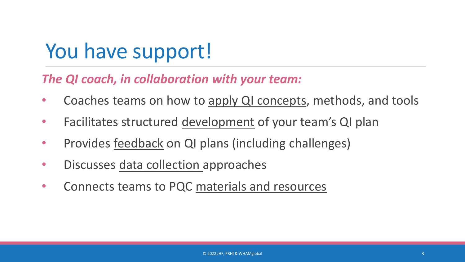## You have support!

#### *The QI coach, in collaboration with your team:*

- Coaches teams on how to apply QI concepts, methods, and tools
- Facilitates structured development of your team's QI plan
- Provides feedback on QI plans (including challenges)
- Discusses data collection approaches
- Connects teams to PQC materials and resources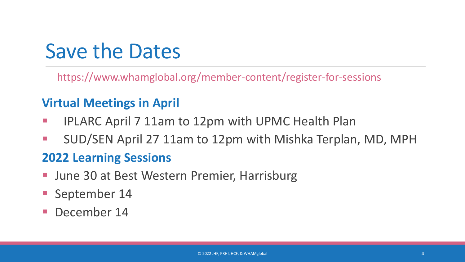## Save the Dates

https://www.whamglobal.org/member-content/register-for-sessions

#### **Virtual Meetings in April**

- IPLARC April 7 11am to 12pm with UPMC Health Plan
- SUD/SEN April 27 11am to 12pm with Mishka Terplan, MD, MPH

#### **2022 Learning Sessions**

- June 30 at Best Western Premier, Harrisburg
- **September 14**
- December 14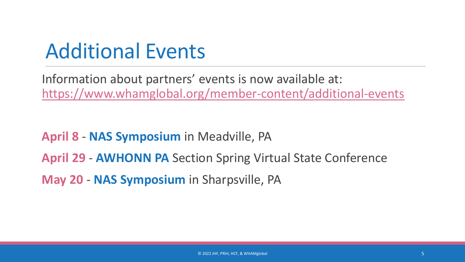## Additional Events

Information about partners' events is now available at: <https://www.whamglobal.org/member-content/additional-events>

**April 8** - **NAS Symposium** in Meadville, PA **April 29** - **AWHONN PA** Section Spring Virtual State Conference **May 20** - **NAS Symposium** in Sharpsville, PA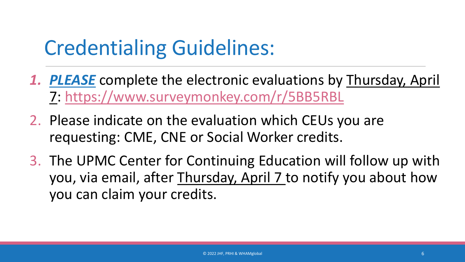## Credentialing Guidelines:

- *1. PLEASE* complete the electronic evaluations by Thursday, April 7: https://www.surveymonkey.com/r/5BB5RBL
- 2. Please indicate on the evaluation which CEUs you are requesting: CME, CNE or Social Worker credits.
- 3. The UPMC Center for Continuing Education will follow up with you, via email, after Thursday, April 7 to notify you about how you can claim your credits.